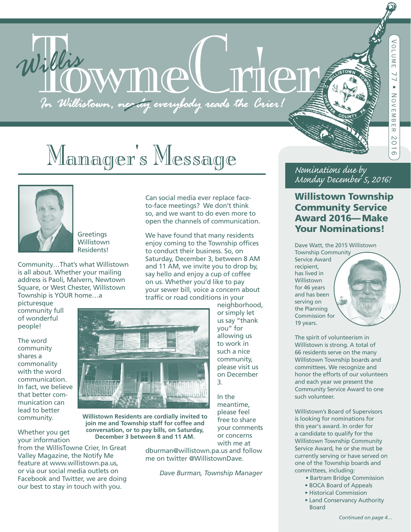# Willis WWM CL M C

# Manager's Message



**Greetings Willistown** Residents!

Community…That's what Willistown is all about. Whether your mailing address is Paoli, Malvern, Newtown Square, or West Chester, Willistown Township is YOUR home…a

picturesque community full of wonderful people!

The word community shares a commonality with the word communication. In fact, we believe that better communication can lead to better community.

Whether you get your information

from the WillisTowne Crier, In Great Valley Magazine, the Notify Me feature at www.willistown.pa.us, or via our social media outlets on Facebook and Twitter, we are doing our best to stay in touch with you.

Can social media ever replace faceto-face meetings? We don't think so, and we want to do even more to open the channels of communication.

We have found that many residents enjoy coming to the Township offices to conduct their business. So, on Saturday, December 3, between 8 AM and 11 AM, we invite you to drop by, say hello and enjoy a cup of coffee on us. Whether you'd like to pay your sewer bill, voice a concern about traffic or road conditions in your

> neighborhood, or simply let us say "thank you" for allowing us to work in such a nice community, please visit us on December



**Willistown Residents are cordially invited to join me and Township staff for coffee and conversation, or to pay bills, on Saturday, December 3 between 8 and 11 AM.**

> dburman@willistown.pa.us and follow me on twitter @WillistownDave.

> > *Dave Burman, Township Manager*

3.

In the meantime, please feel free to share your comments or concerns with me at

#### *Nominations due by Monday December 5, 2016!*

#### Willistown Township Community Service Award 2016—Make Your Nominations!

Dave Watt, the 2015 Willistown

Township Community Service Award recipient, has lived in Willistown for 46 years and has been serving on the Planning Commission for 19 years.



The spirit of volunteerism in Willistown is strong. A total of 66 residents serve on the many Willistown Township boards and committees. We recognize and honor the efforts of our volunteers and each year we present the Community Service Award to one such volunteer.

Willistown's Board of Supervisors is looking for nominations for this year's award. In order for a candidate to qualify for the Willistown Township Community Service Award, he or she must be currently serving or have served on one of the Township boards and committees, including:

- Bartram Bridge Commission
- BOCA Board of Appeals
- Historical Commission
- Land Conservancy Authority Board

*Continued on page 4…*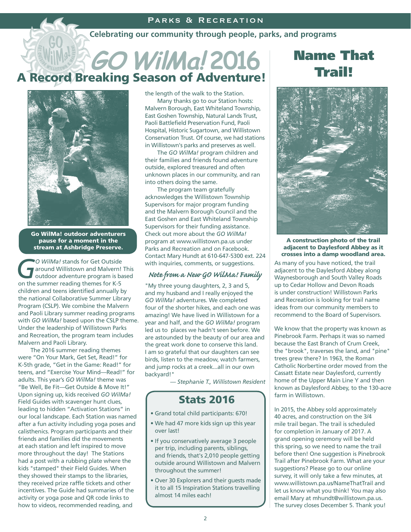#### Parks & Recreation

#### **Celebrating our community through people, parks, and programs**

## **GO WilMa! 2016** A Record Breaking Season of Adventure!



Go WilMa! outdoor adventurers pause for a moment in the stream at Ashbridge Preserve.

*GO WilMa!* stands for Get Outside<br>
around Willistown and Malvern!<br>
outdoor adventure program is ba around Willistown and Malvern! This outdoor adventure program is based on the summer reading themes for K-5 children and teens identified annually by the national Collaborative Summer Library Program (CSLP). We combine the Malvern and Paoli Library summer reading programs with *GO WilMa!* based upon the CSLP theme. Under the leadership of Willistown Parks and Recreation, the program team includes Malvern and Paoli Library.

 The 2016 summer reading themes were "On Your Mark, Get Set, Read!" for K-5th grade, "Get in the Game: Read!" for teens, and "Exercise Your Mind—Read!" for adults. This year's *GO WilMa!* theme was "Be Well, Be Fit—Get Outside & Move It!" Upon signing up, kids received *GO WilMa!* Field Guides with scavenger hunt clues, leading to hidden "Activation Stations" in our local landscape. Each Station was named after a fun activity including yoga poses and calisthenics. Program participants and their friends and families did the movements at each station and left inspired to move more throughout the day! The Stations had a post with a rubbing plate where the kids "stamped" their Field Guides. When they showed their stamps to the libraries, they received prize raffle tickets and other incentives. The Guide had summaries of the activity or yoga pose and QR code links to how to videos, recommended reading, and

the length of the walk to the Station.

 Many thanks go to our Station hosts: Malvern Borough, East Whiteland Township, East Goshen Township, Natural Lands Trust, Paoli Battlefield Preservation Fund, Paoli Hospital, Historic Sugartown, and Willistown Conservation Trust. Of course, we had stations in Willistown's parks and preserves as well.

 The *GO WilMa!* program children and their families and friends found adventure outside, explored treasured and often unknown places in our community, and ran into others doing the same.

 The program team gratefully acknowledges the Willistown Township Supervisors for major program funding and the Malvern Borough Council and the East Goshen and East Whiteland Township Supervisors for their funding assistance. Check out more about the *GO WilMa!* program at www.willistown.pa.us under Parks and Recreation and on Facebook. Contact Mary Hundt at 610-647-5300 ext. 224 with inquiries, comments, or suggestions.

#### *Note from a New GO WilMa! Family*

"My three young daughters, 2, 3 and 5, and my husband and I really enjoyed the *GO WilMa!* adventures. We completed four of the shorter hikes, and each one was amazing! We have lived in Willistown for a year and half, and the *GO WilMa!* program led us to places we hadn't seen before. We are astounded by the beauty of our area and the great work done to conserve this land. I am so grateful that our daughters can see birds, listen to the meadow, watch farmers, and jump rocks at a creek...all in our own backyard!"

*— Stephanie T., Willistown Resident*

#### Stats 2016

- Grand total child participants: 670!
- We had 47 more kids sign up this year over last!
- If you conservatively average 3 people per trip, including parents, siblings, and friends, that's 2,010 people getting outside around Willistown and Malvern throughout the summer!
- Over 30 Explorers and their guests made it to all 15 Inspiration Stations travelling almost 14 miles each!

## Name That Trail!



#### A construction photo of the trail adjacent to Daylesford Abbey as it crosses into a damp woodland area.

As many of you have noticed, the trail adjacent to the Daylesford Abbey along Waynesborough and South Valley Roads up to Cedar Hollow and Devon Roads is under construction! Willistown Parks and Recreation is looking for trail name ideas from our community members to recommend to the Board of Supervisors.

We know that the property was known as Pinebrook Farm. Perhaps it was so named because the East Branch of Crum Creek, the "brook", traverses the land, and "pine" trees grew there? In 1963, the Roman Catholic Norbertine order moved from the Cassatt Estate near Daylesford, currently home of the Upper Main Line Y and then known as Daylesford Abbey, to the 130-acre farm in Willistown.

In 2015, the Abbey sold approximately 40 acres, and construction on the 3/4 mile trail began. The trail is scheduled for completion in January of 2017. A grand opening ceremony will be held this spring, so we need to name the trail before then! One suggestion is Pinebrook Trail after Pinebrook Farm. What are your suggestions? Please go to our online survey, it will only take a few minutes, at www.willistown.pa.us/NameThatTrail and let us know what you think! You may also email Mary at mhundt@willistown.pa.us. The survey closes December 5. Thank you!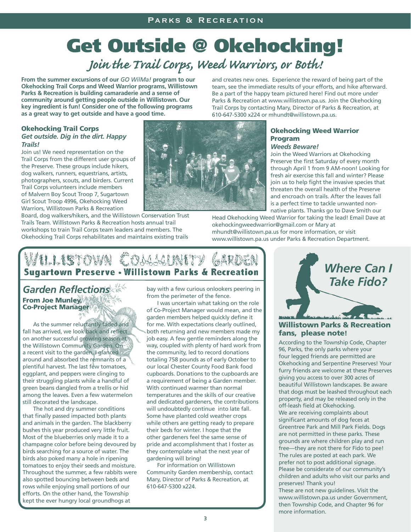## *Join the Trail Corps, Weed Warriors, or Both!* Get Outside @ Okehocking!

**From the summer excursions of our** *GO WilMa!* **program to our Okehocking Trail Corps and Weed Warrior programs, Willistown Parks & Recreation is building camaraderie and a sense of community around getting people outside in Willistown. Our key ingredient is fun! Consider one of the following programs as a great way to get outside and have a good time.**

and creates new ones. Experience the reward of being part of the team, see the immediate results of your efforts, and hike afterward. Be a part of the happy team pictured here! Find out more under Parks & Recreation at www.willistown.pa.us. Join the Okehocking Trail Corps by contacting Mary, Director of Parks & Recreation, at 610-647-5300 x224 or mhundt@willistown.pa.us.

#### Okehocking Trail Corps *Get outside. Dig in the dirt. Happy Trails!*

Join us! We need representation on the Trail Corps from the different user groups of the Preserve. These groups include hikers, dog walkers, runners, equestrians, artists, photographers, scouts, and birders. Current Trail Corps volunteers include members of Malvern Boy Scout Troop 7, Sugartown Girl Scout Troop 4996, Okehocking Weed Warriors, Willistown Parks & Recreation

Board, dog walkers/hikers, and the Willistown Conservation Trust Trails Team. Willistown Parks & Recreation hosts annual trail workshops to train Trail Corps team leaders and members. The Okehocking Trail Corps rehabilitates and maintains existing trails



#### Okehocking Weed Warrior Program

#### *Weeds Beware!*

Join the Weed Warriors at Okehocking Preserve the first Saturday of every month through April 1 from 9 AM-noon! Looking for fresh air exercise this fall and winter? Please join us to help fight the invasive species that threaten the overall health of the Preserve and encroach on trails. After the leaves fall is a perfect time to tackle unwanted nonnative plants. Thanks go to Dave Smith our

Head Okehocking Weed Warrior for taking the lead! Email Dave at okehockingweedwarrior@gmail.com or Mary at mhundt@willistown.pa.us for more information, or visit www.willistown.pa.us under Parks & Recreation Department.

## **ILLISTOWN COLLLINITY** Sugartown Preserve - Willistown Parks & Recreation

From Joe Munley, Co-Project Manager

 As the summer reluctantly faded and fall has arrived, we look back and reflect on another successful growing season at the Willistown Community Garden. On a recent visit to the garden, I glanced around and absorbed the remnants of a plentiful harvest. The last few tomatoes, eggplant, and peppers were clinging to their struggling plants while a handful of green beans dangled from a trellis or hid among the leaves. Even a few watermelon still decorated the landscape.

 The hot and dry summer conditions that finally passed impacted both plants and animals in the garden. The blackberry bushes this year produced very little fruit. Most of the blueberries only made it to a champagne color before being devoured by birds searching for a source of water. The birds also poked many a hole in ripening tomatoes to enjoy their seeds and moisture. Throughout the summer, a few rabbits were also spotted bouncing between beds and rows while enjoying small portions of our efforts. On the other hand, the Township kept the ever hungry local groundhogs at

bay with a few curious onlookers peering in from the perimeter of the fence.

 I was uncertain what taking on the role of Co-Project Manager would mean, and the garden members helped quickly define it for me. With expectations clearly outlined, both returning and new members made my job easy. A few gentle reminders along the way, coupled with plenty of hard work from the community, led to record donations totaling 758 pounds as of early October to our local Chester County Food Bank food cupboards. Donations to the cupboards are a requirement of being a Garden member. With continued warmer than normal temperatures and the skills of our creative and dedicated gardeners, the contributions will undoubtedly continue into late fall. Some have planted cold weather crops while others are getting ready to prepare their beds for winter. I hope that the other gardeners feel the same sense of pride and accomplishment that I foster as they contemplate what the next year of gardening will bring!

 For information on Willistown Community Garden membership, contact Mary, Director of Parks & Recreation, at 610-647-5300 x224.



#### Willistown Parks & Recreation fans, please note!

According to the Township Code, Chapter 96, Parks, the only parks where your four legged friends are permitted are Okehocking and Serpentine Preserves! Your furry friends are welcome at these Preserves giving you access to over 300 acres of beautiful Willistown landscapes. Be aware that dogs must be leashed throughout each property, and may be released only in the off-leash field at Okehocking. We are receiving complaints about significant amounts of dog feces at Greentree Park and Mill Park Fields. Dogs are not permitted in these parks. These grounds are where children play and run free—they are not there for Fido to pee! The rules are posted at each park. We prefer not to post additional signage. Please be considerate of our community's children and adults who visit our parks and preserves! Thank you! These are not new guidelines. Visit the www.willistown.pa.us under Government, then Township Code, and Chapter 96 for more information.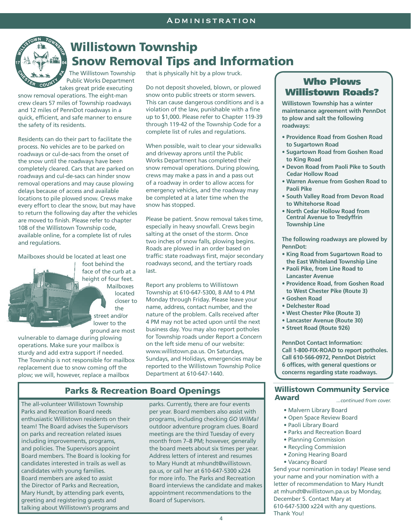

### Willistown Township Snow Removal Tips and Information

The Willistown Township Public Works Department takes great pride executing

snow removal operations. The eight-man crew clears 57 miles of Township roadways and 12 miles of PennDot roadways in a quick, efficient, and safe manner to ensure the safety of its residents.

Residents can do their part to facilitate the process. No vehicles are to be parked on roadways or cul-de-sacs from the onset of the snow until the roadways have been completely cleared. Cars that are parked on roadways and cul-de-sacs can hinder snow removal operations and may cause plowing delays because of access and available locations to pile plowed snow. Crews make every effort to clear the snow, but may have to return the following day after the vehicles are moved to finish. Please refer to chapter 108 of the Willistown Township code, available online, for a complete list of rules and regulations.

Mailboxes should be located at least one

foot behind the face of the curb at a height of four feet. Mailboxes located closer to the street and/or lower to the ground are most

vulnerable to damage during plowing operations. Make sure your mailbox is sturdy and add extra support if needed. The Township is not responsible for mailbox replacement due to snow coming off the plow; we will, however, replace a mailbox

that is physically hit by a plow truck.

Do not deposit shoveled, blown, or plowed snow onto public streets or storm sewers. This can cause dangerous conditions and is a violation of the law, punishable with a fine up to \$1,000. Please refer to Chapter 119-39 through 119-42 of the Township Code for a complete list of rules and regulations.

When possible, wait to clear your sidewalks and driveway aprons until the Public Works Department has completed their snow removal operations. During plowing, crews may make a pass in and a pass out of a roadway in order to allow access for emergency vehicles, and the roadway may be completed at a later time when the snow has stopped.

Please be patient. Snow removal takes time, especially in heavy snowfall. Crews begin salting at the onset of the storm. Once two inches of snow falls, plowing begins. Roads are plowed in an order based on traffic: state roadways first, major secondary roadways second, and the tertiary roads last.

Report any problems to Willistown Township at 610-647-5300, 8 AM to 4 PM Monday through Friday. Please leave your name, address, contact number, and the nature of the problem. Calls received after 4 PM may not be acted upon until the next business day. You may also report potholes for Township roads under Report a Concern on the left side menu of our website: www.willistown.pa.us. On Saturdays, Sundays, and Holidays, emergencies may be reported to the Willistown Township Police Department at 610-647-1440.

#### Parks & Recreation Board Openings

The all-volunteer Willistown Township Parks and Recreation Board needs enthusiastic Willistown residents on their team! The Board advises the Supervisors on parks and recreation related issues including improvements, programs, and policies. The Supervisors appoint Board members. The Board is looking for candidates interested in trails as well as candidates with young families. Board members are asked to assist the Director of Parks and Recreation, Mary Hundt, by attending park events, greeting and registering guests and talking about Willistown's programs and

parks. Currently, there are four events per year. Board members also assist with programs, including checking *GO WilMa!*  outdoor adventure program clues. Board meetings are the third Tuesday of every month from 7–8 PM; however, generally the board meets about six times per year. Address letters of interest and resumes to Mary Hundt at mhundt@willistown. pa.us, or call her at 610-647-5300 x224 for more info. The Parks and Recreation Board interviews the candidate and makes appointment recommendations to the Board of Supervisors.

#### Who Plows Willistown Roads?

**Willistown Township has a winter maintenance agreement with PennDot to plow and salt the following roadways:**

- **Providence Road from Goshen Road to Sugartown Road**
- **Sugartown Road from Goshen Road to King Road**
- **Devon Road from Paoli Pike to South Cedar Hollow Road**
- **Warren Avenue from Goshen Road to Paoli Pike**
- **South Valley Road from Devon Road to Whitehorse Road**
- **North Cedar Hollow Road from Central Avenue to Tredyffrin Township Line**

**The following roadways are plowed by PennDot:**

- **King Road from Sugartown Road to the East Whiteland Township Line**
- **Paoli Pike, from Line Road to Lancaster Avenue**
- **Providence Road, from Goshen Road to West Chester Pike (Route 3)**
- **Goshen Road**
- **Delchester Road**
- **West Chester Pike (Route 3)**
- **Lancaster Avenue (Route 30)**
- **Street Road (Route 926)**

**PennDot Contact Information: Call 1-800-FIX-ROAD to report potholes. Call 610-566-0972, PennDot District 6 offices, with general questions or concerns regarding state roadways.**

#### Willistown Community Service Award *...continued from cover.*

- Malvern Library Board
- Open Space Review Board
- Paoli Library Board
- Parks and Recreation Board
- Planning Commission
- Recycling Commission
- Zoning Hearing Board
- Vacancy Board

Send your nomination in today! Please send your name and your nomination with a letter of recommendation to Mary Hundt at mhundt@willistown.pa.us by Monday, December 5. Contact Mary at 610-647-5300 x224 with any questions. Thank You!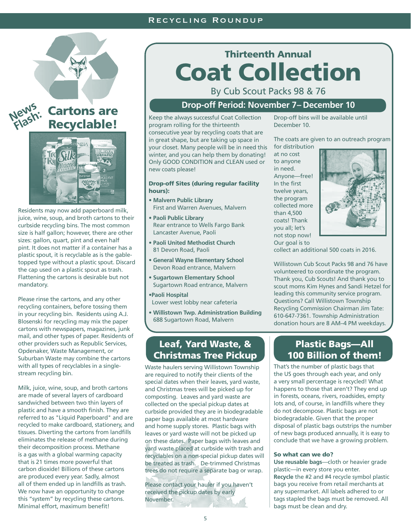#### Recycling Roundup



Residents may now add paperboard milk, juice, wine, soup, and broth cartons to their curbside recycling bins. The most common size is half gallon; however, there are other sizes: gallon, quart, pint and even half pint. It does not matter if a container has a plastic spout, it is recyclable as is the gabletopped type without a plastic spout. Discard the cap used on a plastic spout as trash. Flattening the cartons is desirable but not mandatory.

Please rinse the cartons, and any other recycling containers, before tossing them in your recycling bin. Residents using A.J. Blosenski for recycling may mix the paper cartons with newspapers, magazines, junk mail, and other types of paper. Residents of other providers such as Republic Services, Opdenaker, Waste Management, or Suburban Waste may combine the cartons with all types of recyclables in a singlestream recycling bin.

Milk, juice, wine, soup, and broth cartons are made of several layers of cardboard sandwiched between two thin layers of plastic and have a smooth finish. They are referred to as "Liquid Paperboard" and are recycled to make cardboard, stationery, and tissues. Diverting the cartons from landfills eliminates the release of methane during their decomposition process. Methane is a gas with a global warming capacity that is 21 times more powerful that carbon dioxide! Billions of these cartons are produced every year. Sadly, almost all of them ended up in landfills as trash. We now have an opportunity to change this "system" by recycling these cartons. Minimal effort, maximum benefit!

## Thirteenth Annual Coat Collection

By Cub Scout Packs 98 & 76

#### **Drop-off Period: November 7 – December 10**

Recyclable! Keep the always successful Coat Collection program rolling for the thirteenth

consecutive year by recycling coats that are in great shape, but are taking up space in your closet. Many people will be in need this winter, and you can help them by donating! Only GOOD CONDITION and CLEAN used or new coats please!

#### Drop-off Sites (during regular facility hours):

- **Malvern Public Library**  First and Warren Avenues, Malvern
- **Paoli Public Library**  Rear entrance to Wells Fargo Bank Lancaster Avenue, Paoli
- **Paoli United Methodist Church**  81 Devon Road, Paoli
- **General Wayne Elementary School**  Devon Road entrance, Malvern
- **Sugartown Elementary School**  Sugartown Road entrance, Malvern
- **•Paoli Hospital**

Lower west lobby near cafeteria

**• Willistown Twp. Administration Building** 688 Sugartown Road, Malvern

#### Leaf, Yard Waste, & Christmas Tree Pickup

Waste haulers serving Willistown Township are required to notify their clients of the special dates when their leaves, yard waste, and Christmas trees will be picked up for composting. Leaves and yard waste are collected on the special pickup dates at curbside provided they are in biodegradable paper bags available at most hardware and home supply stores. Plastic bags with leaves or yard waste will not be picked up on these dates. Paper bags with leaves and yard waste placed at curbside with trash and recyclables on a non-special pickup dates will be treated as trash. De-trimmed Christmas trees do not require a separate bag or wrap.

Please contact your hauler if you haven't received the pickup dates by early November.

Drop-off bins will be available until December 10.

The coats are given to an outreach program

for distribution at no cost to anyone in need. Anyone—free! In the first twelve years, the program collected more than 4,500 coats! Thank you all; let's not stop now! Our goal is to



collect an additional 500 coats in 2016.

Willistown Cub Scout Packs 98 and 76 have volunteered to coordinate the program. Thank you, Cub Scouts! And thank you to scout moms Kim Hynes and Sandi Hetzel for leading this community service program. Questions? Call Willistown Township Recycling Commission Chairman Jim Tate: 610-647-7361. Township Administration donation hours are 8 AM–4 PM weekdays.

#### Plastic Bags—All 100 Billion of them!

That's the number of plastic bags that the US goes through each year, and only a very small percentage is recycled! What happens to those that aren't? They end up in forests, oceans, rivers, roadsides, empty lots and, of course, in landfills where they do not decompose. Plastic bags are not biodegradable. Given that the proper disposal of plastic bags outstrips the number of new bags produced annually, it is easy to conclude that we have a growing problem.

#### So what can we do?

**Use reusable bags**—cloth or heavier grade plastic—in every store you enter. **Recycle** the #2 and #4 recycle symbol plastic bags you receive from retail merchants at any supermarket. All labels adhered to or tags stapled the bags must be removed. All bags must be clean and dry.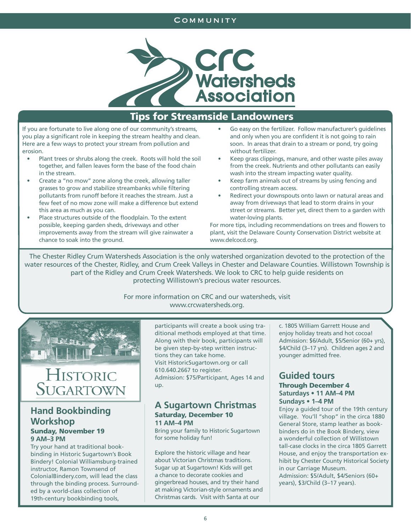#### **COMMUNITY**



#### Tips for Streamside Landowners

If you are fortunate to live along one of our community's streams, you play a significant role in keeping the stream healthy and clean. Here are a few ways to protect your stream from pollution and erosion.

- Plant trees or shrubs along the creek. Roots will hold the soil together, and fallen leaves form the base of the food chain in the stream.
- Create a "no mow" zone along the creek, allowing taller grasses to grow and stabilize streambanks while filtering pollutants from runoff before it reaches the stream. Just a few feet of no mow zone will make a difference but extend this area as much as you can.
- Place structures outside of the floodplain. To the extent possible, keeping garden sheds, driveways and other improvements away from the stream will give rainwater a chance to soak into the ground.
- Go easy on the fertilizer. Follow manufacturer's guidelines and only when you are confident it is not going to rain soon. In areas that drain to a stream or pond, try going without fertilizer.
- Keep grass clippings, manure, and other waste piles away from the creek. Nutrients and other pollutants can easily wash into the stream impacting water quality.
- Keep farm animals out of streams by using fencing and controlling stream access.
- Redirect your downspouts onto lawn or natural areas and away from driveways that lead to storm drains in your street or streams. Better yet, direct them to a garden with water-loving plants.

For more tips, including recommendations on trees and flowers to plant, visit the Delaware County Conservation District website at www.delcocd.org.

The Chester Ridley Crum Watersheds Association is the only watershed organization devoted to the protection of the water resources of the Chester, Ridley, and Crum Creek Valleys in Chester and Delaware Counties. Willistown Township is part of the Ridley and Crum Creek Watersheds. We look to CRC to help guide residents on protecting Willistown's precious water resources.

#### For more information on CRC and our watersheds, visit www.crcwatersheds.org.



## HISTORIC SUGARTOWN

#### **Hand Bookbinding Workshop** Sunday, November 19 **9 AM–3 PM**

Try your hand at traditional bookbinding in Historic Sugartown's Book Bindery! Colonial Williamsburg-trained instructor, Ramon Townsend of ColonialBindery.com, will lead the class through the binding process. Surrounded by a world-class collection of 19th-century bookbinding tools,

participants will create a book using traditional methods employed at that time. Along with their book, participants will be given step-by-step written instructions they can take home. Visit HistoricSugartown.org or call 610.640.2667 to register. Admission: \$75/Participant, Ages 14 and up.

#### **A Sugartown Christmas** Saturday, December 10 **11 AM–4 PM**

Bring your family to Historic Sugartown for some holiday fun!

Explore the historic village and hear about Victorian Christmas traditions. Sugar up at Sugartown! Kids will get a chance to decorate cookies and gingerbread houses, and try their hand at making Victorian-style ornaments and Christmas cards. Visit with Santa at our

c. 1805 William Garrett House and enjoy holiday treats and hot cocoa! Admission: \$6/Adult, \$5/Senior (60+ yrs), \$4/Child (3–17 yrs). Children ages 2 and younger admitted free.

#### **Guided tours**  Through December 4 **Saturdays • 11 AM–4 PM Sundays • 1–4 PM**

Enjoy a guided tour of the 19th century village. You'll "shop" in the circa 1880 General Store, stamp leather as bookbinders do in the Book Bindery, view a wonderful collection of Willistown tall-case clocks in the circa 1805 Garrett House, and enjoy the transportation exhibit by Chester County Historical Society in our Carriage Museum. Admission: \$5/Adult, \$4/Seniors (60+ years), \$3/Child (3–17 years).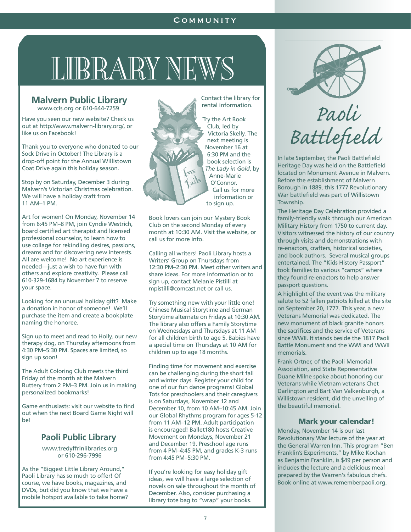#### **COMMUNITY**

## LIBRARY NEWS

#### www.ccls.org or 610-644-7259 **Malvern Public Library**

Have you seen our new website? Check us out at http://www.malvern-library.org/, or like us on Facebook!

Thank you to everyone who donated to our Sock Drive in October! The Library is a drop-off point for the Annual Willistown Coat Drive again this holiday season.

Stop by on Saturday, December 3 during Malvern's Victorian Christmas celebration. We will have a holiday craft from 11 AM–1 PM.

Art for women! On Monday, November 14 from 6:45 PM–8 PM, join Cyndie Westrich, board certified art therapist and licensed professional counselor, to learn how to use collage for rekindling desires, passions, dreams and for discovering new interests. All are welcome! No art experience is needed—just a wish to have fun with others and explore creativity. Please call 610-329-1684 by November 7 to reserve your space.

Looking for an unusual holiday gift? Make a donation in honor of someone! We'll purchase the item and create a bookplate naming the honoree.

Sign up to meet and read to Holly, our new therapy dog, on Thursday afternoons from 4:30 PM–5:30 PM. Spaces are limited, so sign up soon!

The Adult Coloring Club meets the third Friday of the month at the Malvern Buttery from 2 PM–3 PM. Join us in making personalized bookmarks!

Game enthusiasts: visit our website to find out when the next Board Game Night will be!

#### **Paoli Public Library**

www.tredyffrinlibraries.org or 610-296-7996

As the "Biggest Little Library Around," Paoli Library has so much to offer! Of course, we have books, magazines, and DVDs, but did you know that we have a mobile hotspot available to take home?

Contact the library for rental information.

Try the Art Book Club, led by Victoria Skelly. The next meeting is November 16 at 6:30 PM and the book selection is *The Lady in Gold*, by Anne-Marie O'Connor. Call us for more information or to sign up.

Book lovers can join our Mystery Book Club on the second Monday of every month at 10:30 AM. Visit the website, or call us for more info.

Calling all writers! Paoli Library hosts a Writers' Group on Thursdays from 12:30 PM–2:30 PM. Meet other writers and share ideas. For more information or to sign up, contact Melanie Pistilli at mpistilli@comcast.net or call us.

Try something new with your little one! Chinese Musical Storytime and German Storytime alternate on Fridays at 10:30 AM. The library also offers a Family Storytime on Wednesdays and Thursdays at 11 AM for all children birth to age 5. Babies have a special time on Thursdays at 10 AM for children up to age 18 months.

Finding time for movement and exercise can be challenging during the short fall and winter days. Register your child for one of our fun dance programs! Global Tots for preschoolers and their caregivers is on Saturdays, November 12 and December 10, from 10 AM–10:45 AM. Join our Global Rhythms program for ages 5-12 from 11 AM–12 PM. Adult participation is encouraged! Ballet180 hosts Creative Movement on Mondays, November 21 and December 19. Preschool age runs from 4 PM–4:45 PM, and grades K-3 runs from 4:45 PM–5:30 PM.

If you're looking for easy holiday gift ideas, we will have a large selection of novels on sale throughout the month of December. Also, consider purchasing a library tote bag to "wrap" your books.



 *Paoli Battlefield* 

In late September, the Paoli Battlefield Heritage Day was held on the Battlefield located on Monument Avenue in Malvern. Before the establishment of Malvern Borough in 1889, this 1777 Revolutionary War battlefield was part of Willistown Township.

The Heritage Day Celebration provided a family-friendly walk through our American Military History from 1750 to current day. Visitors witnessed the history of our country through visits and demonstrations with re-enactors, crafters, historical societies, and book authors. Several musical groups entertained. The "Kids History Passport" took families to various "camps" where they found re-enactors to help answer passport questions.

A highlight of the event was the military salute to 52 fallen patriots killed at the site on September 20, 1777. This year, a new Veterans Memorial was dedicated. The new monument of black granite honors the sacrifices and the service of Veterans since WWII. It stands beside the 1817 Paoli Battle Monument and the WWI and WWII memorials.

Frank Ortner, of the Paoli Memorial Association, and State Representative Duane Milne spoke about honoring our Veterans while Vietnam veterans Chet Darlington and Bart Van Valkenburgh, a Willistown resident, did the unveiling of the beautiful memorial.

#### Mark your calendar!

Monday, November 14 is our last Revolutionary War lecture of the year at the General Warren Inn. This program "Ben Franklin's Experiments," by Mike Kochan as Benjamin Franklin, is \$49 per person and includes the lecture and a delicious meal prepared by the Warren's fabulous chefs. Book online at www.rememberpaoli.org.